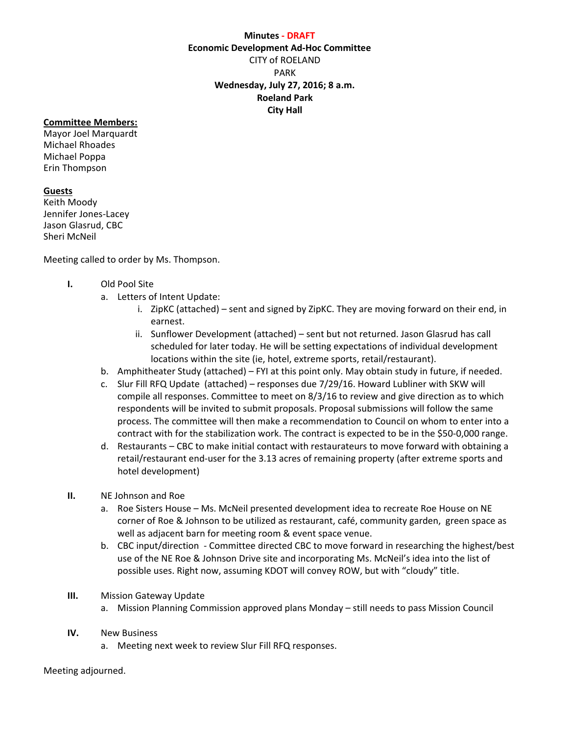## **Minutes ‐ DRAFT**

**Economic Development Ad‐Hoc Committee**

CITY of ROELAND PARK **Wednesday, July 27, 2016; 8 a.m. Roeland Park City Hall**

## **Committee Members:**

Mayor Joel Marquardt Michael Rhoades Michael Poppa Erin Thompson

## **Guests**

Keith Moody Jennifer Jones‐Lacey Jason Glasrud, CBC Sheri McNeil

Meeting called to order by Ms. Thompson.

## **I.** Old Pool Site

- a. Letters of Intent Update:
	- i. ZipKC (attached) sent and signed by ZipKC. They are moving forward on their end, in earnest.
	- ii. Sunflower Development (attached) sent but not returned. Jason Glasrud has call scheduled for later today. He will be setting expectations of individual development locations within the site (ie, hotel, extreme sports, retail/restaurant).
- b. Amphitheater Study (attached) FYI at this point only. May obtain study in future, if needed.
- c. Slur Fill RFQ Update (attached) responses due 7/29/16. Howard Lubliner with SKW will compile all responses. Committee to meet on 8/3/16 to review and give direction as to which respondents will be invited to submit proposals. Proposal submissions will follow the same process. The committee will then make a recommendation to Council on whom to enter into a contract with for the stabilization work. The contract is expected to be in the \$50‐0,000 range.
- d. Restaurants CBC to make initial contact with restaurateurs to move forward with obtaining a retail/restaurant end-user for the 3.13 acres of remaining property (after extreme sports and hotel development)
- **II.** NE Johnson and Roe
	- a. Roe Sisters House Ms. McNeil presented development idea to recreate Roe House on NE corner of Roe & Johnson to be utilized as restaurant, café, community garden, green space as well as adjacent barn for meeting room & event space venue.
	- b. CBC input/direction ‐ Committee directed CBC to move forward in researching the highest/best use of the NE Roe & Johnson Drive site and incorporating Ms. McNeil's idea into the list of possible uses. Right now, assuming KDOT will convey ROW, but with "cloudy" title.
- **III.** Mission Gateway Update
	- a. Mission Planning Commission approved plans Monday still needs to pass Mission Council
- **IV.** New Business
	- a. Meeting next week to review Slur Fill RFQ responses.

Meeting adjourned.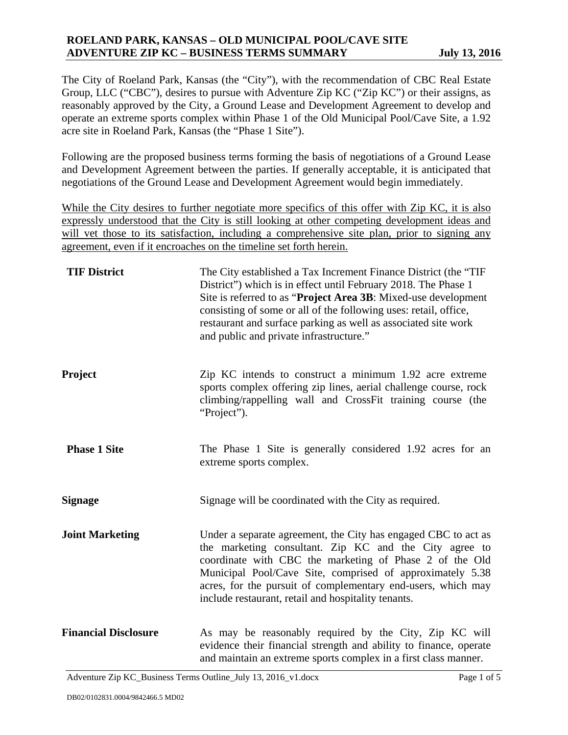# **ROELAND PARK, KANSAS – OLD MUNICIPAL POOL/CAVE SITE ADVENTURE ZIP KC – BUSINESS TERMS SUMMARY July 13, 2016**

The City of Roeland Park, Kansas (the "City"), with the recommendation of CBC Real Estate Group, LLC ("CBC"), desires to pursue with Adventure Zip KC ("Zip KC") or their assigns, as reasonably approved by the City, a Ground Lease and Development Agreement to develop and operate an extreme sports complex within Phase 1 of the Old Municipal Pool/Cave Site, a 1.92 acre site in Roeland Park, Kansas (the "Phase 1 Site").

Following are the proposed business terms forming the basis of negotiations of a Ground Lease and Development Agreement between the parties. If generally acceptable, it is anticipated that negotiations of the Ground Lease and Development Agreement would begin immediately.

While the City desires to further negotiate more specifics of this offer with Zip KC, it is also expressly understood that the City is still looking at other competing development ideas and will vet those to its satisfaction, including a comprehensive site plan, prior to signing any agreement, even if it encroaches on the timeline set forth herein.

| <b>TIF District</b>         | The City established a Tax Increment Finance District (the "TIF"<br>District") which is in effect until February 2018. The Phase 1<br>Site is referred to as "Project Area 3B: Mixed-use development<br>consisting of some or all of the following uses: retail, office,<br>restaurant and surface parking as well as associated site work<br>and public and private infrastructure." |
|-----------------------------|---------------------------------------------------------------------------------------------------------------------------------------------------------------------------------------------------------------------------------------------------------------------------------------------------------------------------------------------------------------------------------------|
| Project                     | Zip KC intends to construct a minimum 1.92 acre extreme<br>sports complex offering zip lines, aerial challenge course, rock<br>climbing/rappelling wall and CrossFit training course (the<br>"Project").                                                                                                                                                                              |
| <b>Phase 1 Site</b>         | The Phase 1 Site is generally considered 1.92 acres for an<br>extreme sports complex.                                                                                                                                                                                                                                                                                                 |
| <b>Signage</b>              | Signage will be coordinated with the City as required.                                                                                                                                                                                                                                                                                                                                |
| <b>Joint Marketing</b>      | Under a separate agreement, the City has engaged CBC to act as<br>the marketing consultant. Zip KC and the City agree to<br>coordinate with CBC the marketing of Phase 2 of the Old<br>Municipal Pool/Cave Site, comprised of approximately 5.38<br>acres, for the pursuit of complementary end-users, which may<br>include restaurant, retail and hospitality tenants.               |
| <b>Financial Disclosure</b> | As may be reasonably required by the City, Zip KC will<br>evidence their financial strength and ability to finance, operate<br>and maintain an extreme sports complex in a first class manner.                                                                                                                                                                                        |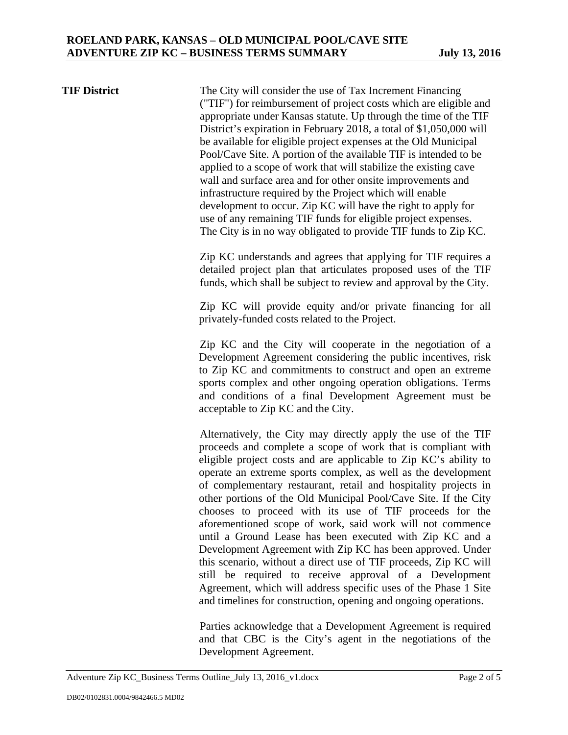**TIF District** The City will consider the use of Tax Increment Financing ("TIF") for reimbursement of project costs which are eligible and appropriate under Kansas statute. Up through the time of the TIF District's expiration in February 2018, a total of \$1,050,000 will be available for eligible project expenses at the Old Municipal Pool/Cave Site. A portion of the available TIF is intended to be applied to a scope of work that will stabilize the existing cave wall and surface area and for other onsite improvements and infrastructure required by the Project which will enable development to occur. Zip KC will have the right to apply for use of any remaining TIF funds for eligible project expenses. The City is in no way obligated to provide TIF funds to Zip KC.

> Zip KC understands and agrees that applying for TIF requires a detailed project plan that articulates proposed uses of the TIF funds, which shall be subject to review and approval by the City.

> Zip KC will provide equity and/or private financing for all privately-funded costs related to the Project.

> Zip KC and the City will cooperate in the negotiation of a Development Agreement considering the public incentives, risk to Zip KC and commitments to construct and open an extreme sports complex and other ongoing operation obligations. Terms and conditions of a final Development Agreement must be acceptable to Zip KC and the City.

> Alternatively, the City may directly apply the use of the TIF proceeds and complete a scope of work that is compliant with eligible project costs and are applicable to Zip KC's ability to operate an extreme sports complex, as well as the development of complementary restaurant, retail and hospitality projects in other portions of the Old Municipal Pool/Cave Site. If the City chooses to proceed with its use of TIF proceeds for the aforementioned scope of work, said work will not commence until a Ground Lease has been executed with Zip KC and a Development Agreement with Zip KC has been approved. Under this scenario, without a direct use of TIF proceeds, Zip KC will still be required to receive approval of a Development Agreement, which will address specific uses of the Phase 1 Site and timelines for construction, opening and ongoing operations.

> Parties acknowledge that a Development Agreement is required and that CBC is the City's agent in the negotiations of the Development Agreement.

Adventure Zip KC\_Business Terms Outline\_July 13, 2016\_v1.docx Page 2 of 5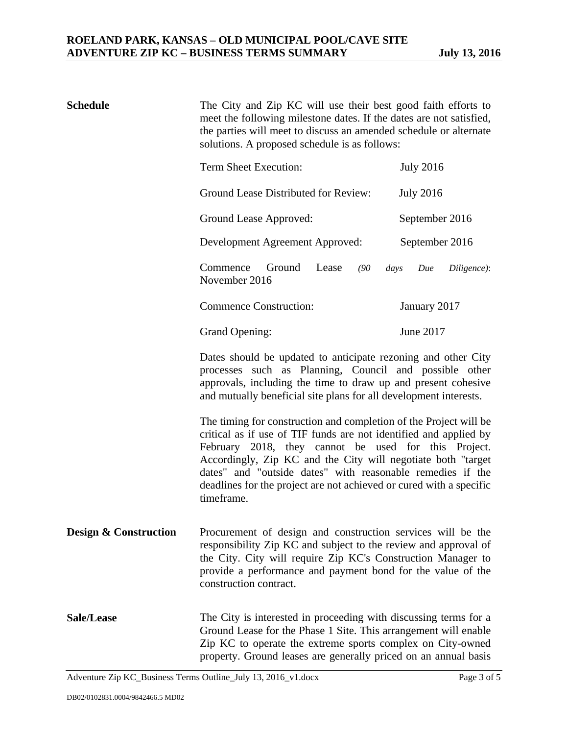| <b>Schedule</b>                  | The City and Zip KC will use their best good faith efforts to<br>meet the following milestone dates. If the dates are not satisfied,<br>the parties will meet to discuss an amended schedule or alternate<br>solutions. A proposed schedule is as follows:                                                                                                                                                        |                    |
|----------------------------------|-------------------------------------------------------------------------------------------------------------------------------------------------------------------------------------------------------------------------------------------------------------------------------------------------------------------------------------------------------------------------------------------------------------------|--------------------|
|                                  | Term Sheet Execution:                                                                                                                                                                                                                                                                                                                                                                                             | <b>July 2016</b>   |
|                                  | Ground Lease Distributed for Review:                                                                                                                                                                                                                                                                                                                                                                              | <b>July 2016</b>   |
|                                  | Ground Lease Approved:                                                                                                                                                                                                                                                                                                                                                                                            | September 2016     |
|                                  | Development Agreement Approved:                                                                                                                                                                                                                                                                                                                                                                                   | September 2016     |
|                                  | Commence<br>Ground<br>Lease<br>(90)<br>days<br>November 2016                                                                                                                                                                                                                                                                                                                                                      | Due<br>Diligence): |
|                                  | <b>Commence Construction:</b>                                                                                                                                                                                                                                                                                                                                                                                     | January 2017       |
|                                  | <b>Grand Opening:</b>                                                                                                                                                                                                                                                                                                                                                                                             | June 2017          |
|                                  | Dates should be updated to anticipate rezoning and other City<br>processes such as Planning, Council and possible other<br>approvals, including the time to draw up and present cohesive<br>and mutually beneficial site plans for all development interests.                                                                                                                                                     |                    |
|                                  | The timing for construction and completion of the Project will be<br>critical as if use of TIF funds are not identified and applied by<br>February 2018, they cannot be used for this Project.<br>Accordingly, Zip KC and the City will negotiate both "target<br>dates" and "outside dates" with reasonable remedies if the<br>deadlines for the project are not achieved or cured with a specific<br>timeframe. |                    |
| <b>Design &amp; Construction</b> | Procurement of design and construction services will be the<br>responsibility Zip KC and subject to the review and approval of<br>the City. City will require Zip KC's Construction Manager to<br>provide a performance and payment bond for the value of the<br>construction contract.                                                                                                                           |                    |
| Sale/Lease                       | The City is interested in proceeding with discussing terms for a<br>Ground Lease for the Phase 1 Site. This arrangement will enable<br>Zip KC to operate the extreme sports complex on City-owned<br>property. Ground leases are generally priced on an annual basis                                                                                                                                              |                    |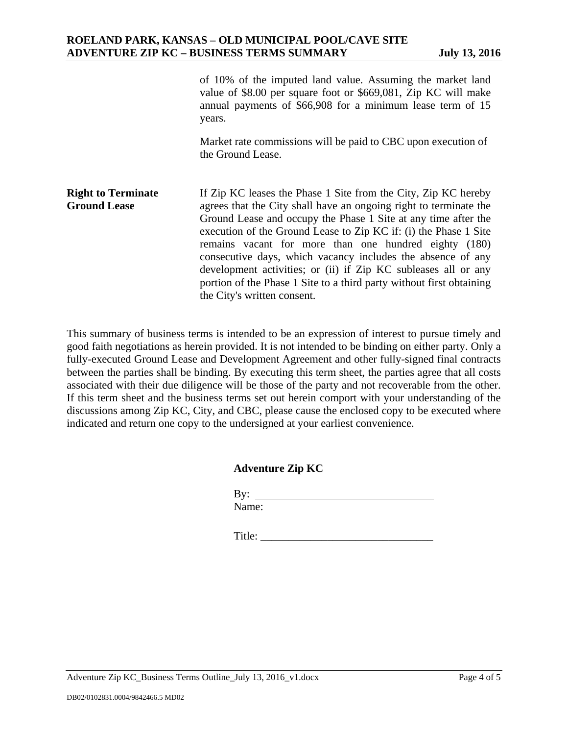|                                                  | of 10% of the imputed land value. Assuming the market land<br>value of \$8.00 per square foot or \$669,081, Zip KC will make<br>annual payments of \$66,908 for a minimum lease term of 15<br>years.                                                                                                                                                                                                                                                                                                                                                                       |
|--------------------------------------------------|----------------------------------------------------------------------------------------------------------------------------------------------------------------------------------------------------------------------------------------------------------------------------------------------------------------------------------------------------------------------------------------------------------------------------------------------------------------------------------------------------------------------------------------------------------------------------|
|                                                  | Market rate commissions will be paid to CBC upon execution of<br>the Ground Lease.                                                                                                                                                                                                                                                                                                                                                                                                                                                                                         |
| <b>Right to Terminate</b><br><b>Ground Lease</b> | If Zip KC leases the Phase 1 Site from the City, Zip KC hereby<br>agrees that the City shall have an ongoing right to terminate the<br>Ground Lease and occupy the Phase 1 Site at any time after the<br>execution of the Ground Lease to Zip KC if: (i) the Phase 1 Site<br>remains vacant for more than one hundred eighty (180)<br>consecutive days, which vacancy includes the absence of any<br>development activities; or (ii) if Zip KC subleases all or any<br>portion of the Phase 1 Site to a third party without first obtaining<br>the City's written consent. |

This summary of business terms is intended to be an expression of interest to pursue timely and good faith negotiations as herein provided. It is not intended to be binding on either party. Only a fully-executed Ground Lease and Development Agreement and other fully-signed final contracts between the parties shall be binding. By executing this term sheet, the parties agree that all costs associated with their due diligence will be those of the party and not recoverable from the other. If this term sheet and the business terms set out herein comport with your understanding of the discussions among Zip KC, City, and CBC, please cause the enclosed copy to be executed where indicated and return one copy to the undersigned at your earliest convenience.

## **Adventure Zip KC**

 By: Name:

Title: \_\_\_\_\_\_\_\_\_\_\_\_\_\_\_\_\_\_\_\_\_\_\_\_\_\_\_\_\_\_\_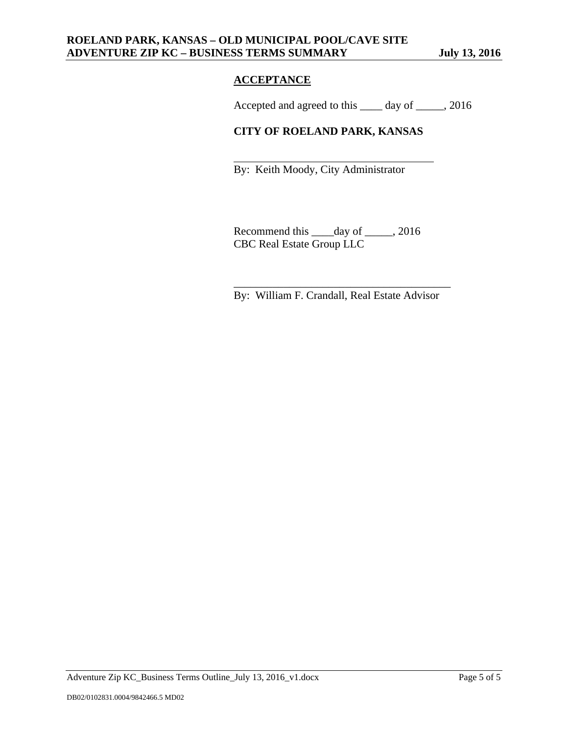# **ACCEPTANCE**

 $\overline{\phantom{a}}$  , and the contract of the contract of the contract of the contract of the contract of the contract of the contract of the contract of the contract of the contract of the contract of the contract of the contrac

Accepted and agreed to this \_\_\_\_ day of \_\_\_\_\_, 2016

# **CITY OF ROELAND PARK, KANSAS**

By: Keith Moody, City Administrator

Recommend this \_\_\_\_day of \_\_\_\_\_, 2016 CBC Real Estate Group LLC

By: William F. Crandall, Real Estate Advisor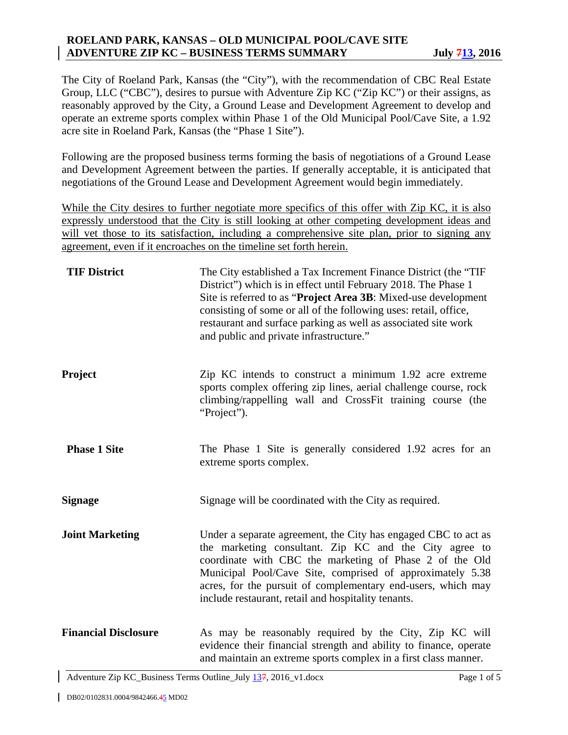# **ROELAND PARK, KANSAS – OLD MUNICIPAL POOL/CAVE SITE ADVENTURE ZIP KC – BUSINESS TERMS SUMMARY July 713, 2016**

The City of Roeland Park, Kansas (the "City"), with the recommendation of CBC Real Estate Group, LLC ("CBC"), desires to pursue with Adventure Zip KC ("Zip KC") or their assigns, as reasonably approved by the City, a Ground Lease and Development Agreement to develop and operate an extreme sports complex within Phase 1 of the Old Municipal Pool/Cave Site, a 1.92 acre site in Roeland Park, Kansas (the "Phase 1 Site").

Following are the proposed business terms forming the basis of negotiations of a Ground Lease and Development Agreement between the parties. If generally acceptable, it is anticipated that negotiations of the Ground Lease and Development Agreement would begin immediately.

While the City desires to further negotiate more specifics of this offer with Zip KC, it is also expressly understood that the City is still looking at other competing development ideas and will vet those to its satisfaction, including a comprehensive site plan, prior to signing any agreement, even if it encroaches on the timeline set forth herein.

| <b>TIF District</b>         | The City established a Tax Increment Finance District (the "TIF"<br>District") which is in effect until February 2018. The Phase 1<br>Site is referred to as "Project Area 3B: Mixed-use development<br>consisting of some or all of the following uses: retail, office,<br>restaurant and surface parking as well as associated site work<br>and public and private infrastructure." |
|-----------------------------|---------------------------------------------------------------------------------------------------------------------------------------------------------------------------------------------------------------------------------------------------------------------------------------------------------------------------------------------------------------------------------------|
| Project                     | Zip KC intends to construct a minimum 1.92 acre extreme<br>sports complex offering zip lines, aerial challenge course, rock<br>climbing/rappelling wall and CrossFit training course (the<br>"Project").                                                                                                                                                                              |
| <b>Phase 1 Site</b>         | The Phase 1 Site is generally considered 1.92 acres for an<br>extreme sports complex.                                                                                                                                                                                                                                                                                                 |
| <b>Signage</b>              | Signage will be coordinated with the City as required.                                                                                                                                                                                                                                                                                                                                |
| <b>Joint Marketing</b>      | Under a separate agreement, the City has engaged CBC to act as<br>the marketing consultant. Zip KC and the City agree to<br>coordinate with CBC the marketing of Phase 2 of the Old<br>Municipal Pool/Cave Site, comprised of approximately 5.38<br>acres, for the pursuit of complementary end-users, which may<br>include restaurant, retail and hospitality tenants.               |
| <b>Financial Disclosure</b> | As may be reasonably required by the City, Zip KC will<br>evidence their financial strength and ability to finance, operate<br>and maintain an extreme sports complex in a first class manner.                                                                                                                                                                                        |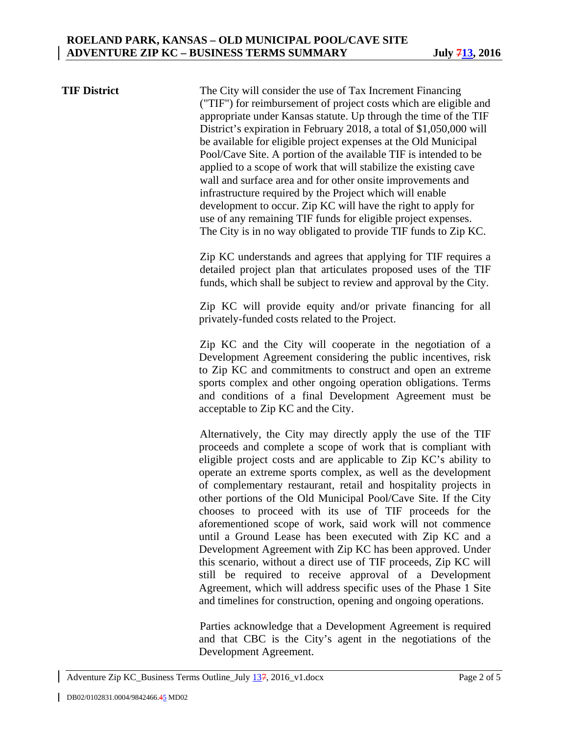**TIF District** The City will consider the use of Tax Increment Financing ("TIF") for reimbursement of project costs which are eligible and appropriate under Kansas statute. Up through the time of the TIF District's expiration in February 2018, a total of \$1,050,000 will be available for eligible project expenses at the Old Municipal Pool/Cave Site. A portion of the available TIF is intended to be applied to a scope of work that will stabilize the existing cave wall and surface area and for other onsite improvements and infrastructure required by the Project which will enable development to occur. Zip KC will have the right to apply for use of any remaining TIF funds for eligible project expenses. The City is in no way obligated to provide TIF funds to Zip KC.

> Zip KC understands and agrees that applying for TIF requires a detailed project plan that articulates proposed uses of the TIF funds, which shall be subject to review and approval by the City.

> Zip KC will provide equity and/or private financing for all privately-funded costs related to the Project.

> Zip KC and the City will cooperate in the negotiation of a Development Agreement considering the public incentives, risk to Zip KC and commitments to construct and open an extreme sports complex and other ongoing operation obligations. Terms and conditions of a final Development Agreement must be acceptable to Zip KC and the City.

> Alternatively, the City may directly apply the use of the TIF proceeds and complete a scope of work that is compliant with eligible project costs and are applicable to Zip KC's ability to operate an extreme sports complex, as well as the development of complementary restaurant, retail and hospitality projects in other portions of the Old Municipal Pool/Cave Site. If the City chooses to proceed with its use of TIF proceeds for the aforementioned scope of work, said work will not commence until a Ground Lease has been executed with Zip KC and a Development Agreement with Zip KC has been approved. Under this scenario, without a direct use of TIF proceeds, Zip KC will still be required to receive approval of a Development Agreement, which will address specific uses of the Phase 1 Site and timelines for construction, opening and ongoing operations.

> Parties acknowledge that a Development Agreement is required and that CBC is the City's agent in the negotiations of the Development Agreement.

Adventure Zip KC\_Business Terms Outline\_July 137, 2016\_v1.docx Page 2 of 5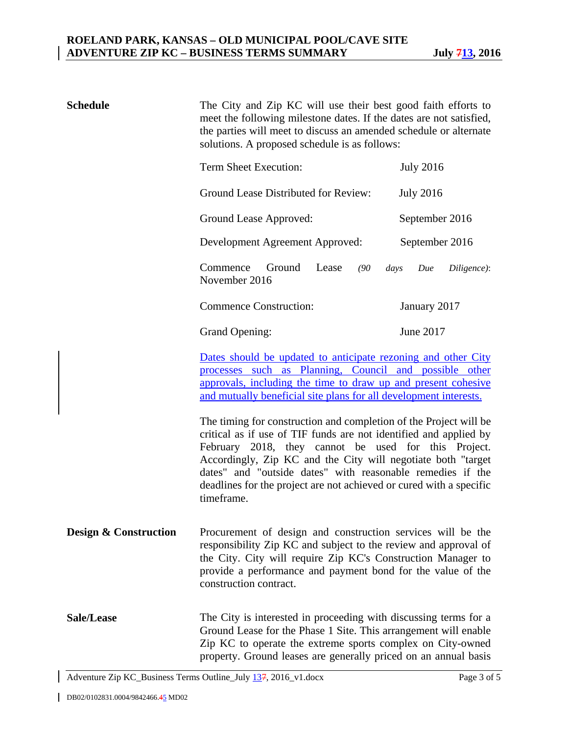| <b>Schedule</b>                  | The City and Zip KC will use their best good faith efforts to<br>meet the following milestone dates. If the dates are not satisfied,<br>the parties will meet to discuss an amended schedule or alternate<br>solutions. A proposed schedule is as follows:                                                                                                                                                        |                            |
|----------------------------------|-------------------------------------------------------------------------------------------------------------------------------------------------------------------------------------------------------------------------------------------------------------------------------------------------------------------------------------------------------------------------------------------------------------------|----------------------------|
|                                  | Term Sheet Execution:                                                                                                                                                                                                                                                                                                                                                                                             | <b>July 2016</b>           |
|                                  | Ground Lease Distributed for Review:                                                                                                                                                                                                                                                                                                                                                                              | <b>July 2016</b>           |
|                                  | Ground Lease Approved:                                                                                                                                                                                                                                                                                                                                                                                            | September 2016             |
|                                  | Development Agreement Approved:                                                                                                                                                                                                                                                                                                                                                                                   | September 2016             |
|                                  | Ground<br>Commence<br>Lease<br>(90)<br>November 2016                                                                                                                                                                                                                                                                                                                                                              | Due<br>Diligence):<br>days |
|                                  | <b>Commence Construction:</b>                                                                                                                                                                                                                                                                                                                                                                                     | January 2017               |
|                                  | <b>Grand Opening:</b>                                                                                                                                                                                                                                                                                                                                                                                             | June 2017                  |
|                                  | <u>Dates should be updated to anticipate rezoning and other City</u><br>processes such as Planning, Council and possible other<br>approvals, including the time to draw up and present cohesive<br>and mutually beneficial site plans for all development interests.                                                                                                                                              |                            |
|                                  | The timing for construction and completion of the Project will be<br>critical as if use of TIF funds are not identified and applied by<br>February 2018, they cannot be used for this Project.<br>Accordingly, Zip KC and the City will negotiate both "target<br>dates" and "outside dates" with reasonable remedies if the<br>deadlines for the project are not achieved or cured with a specific<br>timeframe. |                            |
| <b>Design &amp; Construction</b> | Procurement of design and construction services will be the<br>responsibility Zip KC and subject to the review and approval of<br>the City. City will require Zip KC's Construction Manager to<br>provide a performance and payment bond for the value of the<br>construction contract.                                                                                                                           |                            |
| Sale/Lease                       | The City is interested in proceeding with discussing terms for a<br>Ground Lease for the Phase 1 Site. This arrangement will enable<br>Zip KC to operate the extreme sports complex on City-owned<br>property. Ground leases are generally priced on an annual basis                                                                                                                                              |                            |

Adventure Zip KC\_Business Terms Outline\_July 137, 2016\_v1.docx Page 3 of 5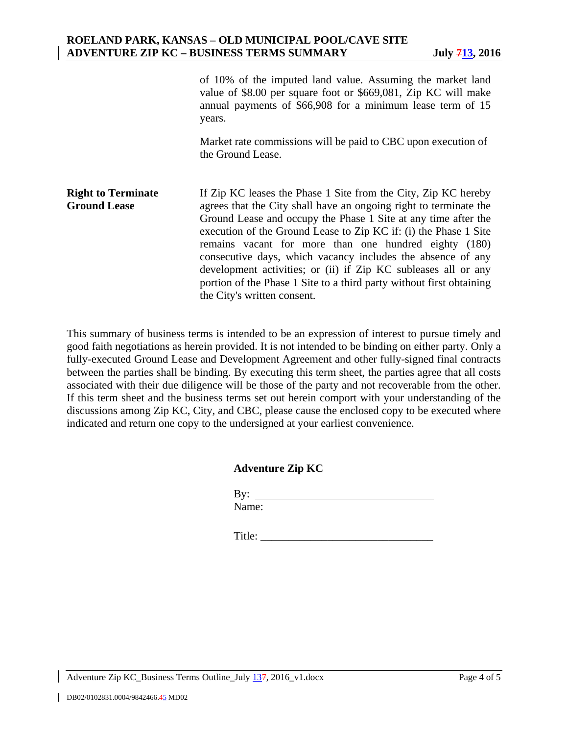|                                                  | of 10% of the imputed land value. Assuming the market land<br>value of \$8.00 per square foot or \$669,081, Zip KC will make<br>annual payments of \$66,908 for a minimum lease term of 15<br>years.                                                                                                                                                                                                                                                                                                                                                                       |
|--------------------------------------------------|----------------------------------------------------------------------------------------------------------------------------------------------------------------------------------------------------------------------------------------------------------------------------------------------------------------------------------------------------------------------------------------------------------------------------------------------------------------------------------------------------------------------------------------------------------------------------|
|                                                  | Market rate commissions will be paid to CBC upon execution of<br>the Ground Lease.                                                                                                                                                                                                                                                                                                                                                                                                                                                                                         |
| <b>Right to Terminate</b><br><b>Ground Lease</b> | If Zip KC leases the Phase 1 Site from the City, Zip KC hereby<br>agrees that the City shall have an ongoing right to terminate the<br>Ground Lease and occupy the Phase 1 Site at any time after the<br>execution of the Ground Lease to Zip KC if: (i) the Phase 1 Site<br>remains vacant for more than one hundred eighty (180)<br>consecutive days, which vacancy includes the absence of any<br>development activities; or (ii) if Zip KC subleases all or any<br>portion of the Phase 1 Site to a third party without first obtaining<br>the City's written consent. |

This summary of business terms is intended to be an expression of interest to pursue timely and good faith negotiations as herein provided. It is not intended to be binding on either party. Only a fully-executed Ground Lease and Development Agreement and other fully-signed final contracts between the parties shall be binding. By executing this term sheet, the parties agree that all costs associated with their due diligence will be those of the party and not recoverable from the other. If this term sheet and the business terms set out herein comport with your understanding of the discussions among Zip KC, City, and CBC, please cause the enclosed copy to be executed where indicated and return one copy to the undersigned at your earliest convenience.

## **Adventure Zip KC**

| $-1$<br>◡<br>- |        |
|----------------|--------|
| ND 1           | uie. ' |

Title:

Adventure Zip KC\_Business Terms Outline\_July 137, 2016\_v1.docx Page 4 of 5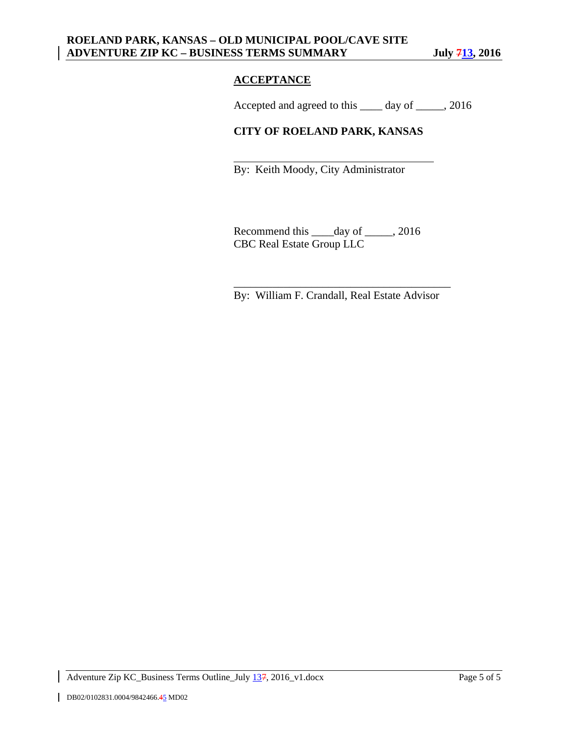# **ACCEPTANCE**

 $\overline{\phantom{a}}$  , and the contract of the contract of the contract of the contract of the contract of the contract of the contract of the contract of the contract of the contract of the contract of the contract of the contrac

Accepted and agreed to this \_\_\_\_ day of \_\_\_\_\_, 2016

# **CITY OF ROELAND PARK, KANSAS**

By: Keith Moody, City Administrator

Recommend this \_\_\_\_day of \_\_\_\_\_, 2016 CBC Real Estate Group LLC

By: William F. Crandall, Real Estate Advisor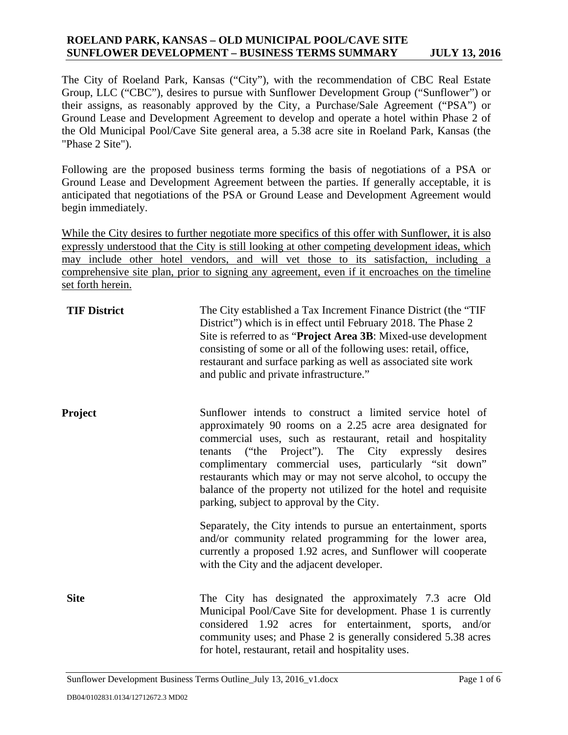The City of Roeland Park, Kansas ("City"), with the recommendation of CBC Real Estate Group, LLC ("CBC"), desires to pursue with Sunflower Development Group ("Sunflower") or their assigns, as reasonably approved by the City, a Purchase/Sale Agreement ("PSA") or Ground Lease and Development Agreement to develop and operate a hotel within Phase 2 of the Old Municipal Pool/Cave Site general area, a 5.38 acre site in Roeland Park, Kansas (the "Phase 2 Site").

Following are the proposed business terms forming the basis of negotiations of a PSA or Ground Lease and Development Agreement between the parties. If generally acceptable, it is anticipated that negotiations of the PSA or Ground Lease and Development Agreement would begin immediately.

While the City desires to further negotiate more specifics of this offer with Sunflower, it is also expressly understood that the City is still looking at other competing development ideas, which may include other hotel vendors, and will vet those to its satisfaction, including a comprehensive site plan, prior to signing any agreement, even if it encroaches on the timeline set forth herein.

| <b>TIF District</b> | The City established a Tax Increment Finance District (the "TIF"<br>District") which is in effect until February 2018. The Phase 2<br>Site is referred to as "Project Area 3B: Mixed-use development<br>consisting of some or all of the following uses: retail, office,<br>restaurant and surface parking as well as associated site work<br>and public and private infrastructure."                                                                                                       |
|---------------------|---------------------------------------------------------------------------------------------------------------------------------------------------------------------------------------------------------------------------------------------------------------------------------------------------------------------------------------------------------------------------------------------------------------------------------------------------------------------------------------------|
| <b>Project</b>      | Sunflower intends to construct a limited service hotel of<br>approximately 90 rooms on a 2.25 acre area designated for<br>commercial uses, such as restaurant, retail and hospitality<br>("the Project"). The City expressly desires<br>tenants<br>complimentary commercial uses, particularly "sit down"<br>restaurants which may or may not serve alcohol, to occupy the<br>balance of the property not utilized for the hotel and requisite<br>parking, subject to approval by the City. |
|                     | Separately, the City intends to pursue an entertainment, sports<br>and/or community related programming for the lower area,<br>currently a proposed 1.92 acres, and Sunflower will cooperate<br>with the City and the adjacent developer.                                                                                                                                                                                                                                                   |
| <b>Site</b>         | The City has designated the approximately 7.3 acre Old<br>Municipal Pool/Cave Site for development. Phase 1 is currently<br>considered 1.92 acres for entertainment, sports, and/or<br>community uses; and Phase 2 is generally considered 5.38 acres<br>for hotel, restaurant, retail and hospitality uses.                                                                                                                                                                                |

Sunflower Development Business Terms Outline\_July 13, 2016\_v1.docx Page 1 of 6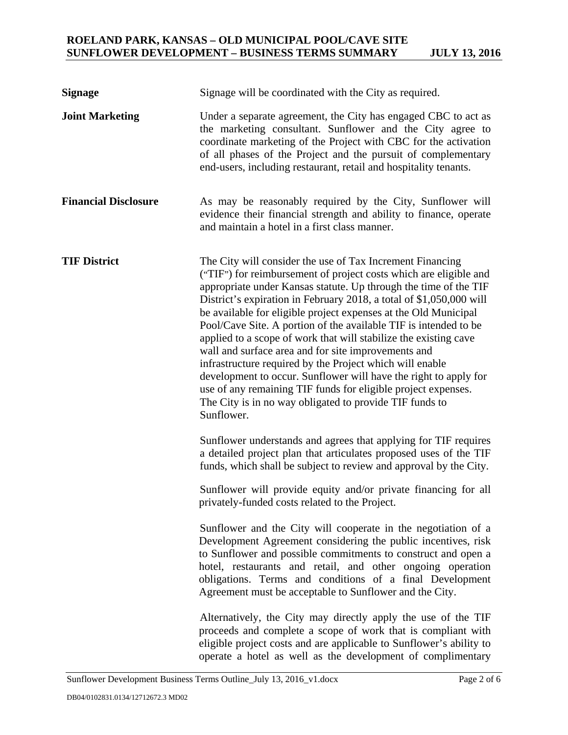| <b>Signage</b>              | Signage will be coordinated with the City as required.                                                                                                                                                                                                                                                                                                                                                                                                                                                                                                                                                                                                                                                                                                                                                                |
|-----------------------------|-----------------------------------------------------------------------------------------------------------------------------------------------------------------------------------------------------------------------------------------------------------------------------------------------------------------------------------------------------------------------------------------------------------------------------------------------------------------------------------------------------------------------------------------------------------------------------------------------------------------------------------------------------------------------------------------------------------------------------------------------------------------------------------------------------------------------|
| <b>Joint Marketing</b>      | Under a separate agreement, the City has engaged CBC to act as<br>the marketing consultant. Sunflower and the City agree to<br>coordinate marketing of the Project with CBC for the activation<br>of all phases of the Project and the pursuit of complementary<br>end-users, including restaurant, retail and hospitality tenants.                                                                                                                                                                                                                                                                                                                                                                                                                                                                                   |
| <b>Financial Disclosure</b> | As may be reasonably required by the City, Sunflower will<br>evidence their financial strength and ability to finance, operate<br>and maintain a hotel in a first class manner.                                                                                                                                                                                                                                                                                                                                                                                                                                                                                                                                                                                                                                       |
| <b>TIF District</b>         | The City will consider the use of Tax Increment Financing<br>("TIF") for reimbursement of project costs which are eligible and<br>appropriate under Kansas statute. Up through the time of the TIF<br>District's expiration in February 2018, a total of \$1,050,000 will<br>be available for eligible project expenses at the Old Municipal<br>Pool/Cave Site. A portion of the available TIF is intended to be<br>applied to a scope of work that will stabilize the existing cave<br>wall and surface area and for site improvements and<br>infrastructure required by the Project which will enable<br>development to occur. Sunflower will have the right to apply for<br>use of any remaining TIF funds for eligible project expenses.<br>The City is in no way obligated to provide TIF funds to<br>Sunflower. |
|                             | Sunflower understands and agrees that applying for TIF requires<br>a detailed project plan that articulates proposed uses of the TIF<br>funds, which shall be subject to review and approval by the City.<br>Sunflower will provide equity and/or private financing for all<br>privately-funded costs related to the Project.                                                                                                                                                                                                                                                                                                                                                                                                                                                                                         |
|                             | Sunflower and the City will cooperate in the negotiation of a<br>Development Agreement considering the public incentives, risk<br>to Sunflower and possible commitments to construct and open a<br>hotel, restaurants and retail, and other ongoing operation<br>obligations. Terms and conditions of a final Development<br>Agreement must be acceptable to Sunflower and the City.                                                                                                                                                                                                                                                                                                                                                                                                                                  |
|                             | Alternatively, the City may directly apply the use of the TIF<br>proceeds and complete a scope of work that is compliant with<br>eligible project costs and are applicable to Sunflower's ability to<br>operate a hotel as well as the development of complimentary                                                                                                                                                                                                                                                                                                                                                                                                                                                                                                                                                   |

Sunflower Development Business Terms Outline\_July 13, 2016\_v1.docx Page 2 of 6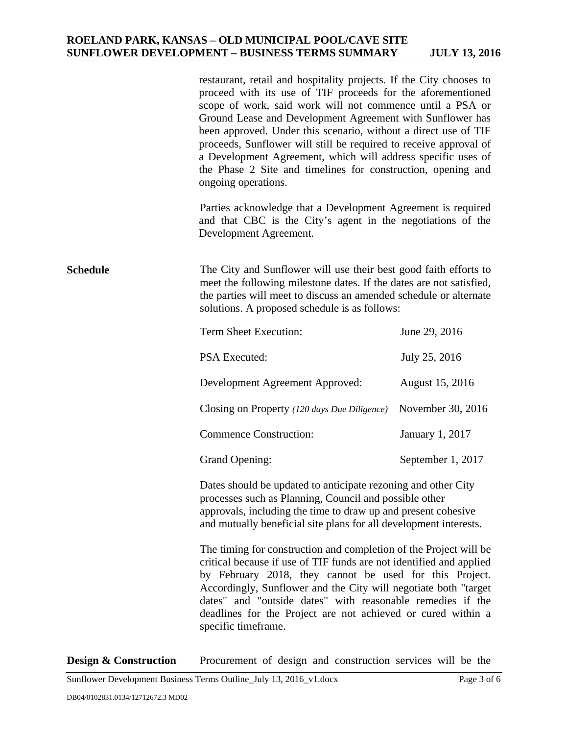|                 | restaurant, retail and hospitality projects. If the City chooses to<br>proceed with its use of TIF proceeds for the aforementioned<br>scope of work, said work will not commence until a PSA or<br>Ground Lease and Development Agreement with Sunflower has<br>been approved. Under this scenario, without a direct use of TIF<br>proceeds, Sunflower will still be required to receive approval of<br>a Development Agreement, which will address specific uses of<br>the Phase 2 Site and timelines for construction, opening and<br>ongoing operations.<br>Parties acknowledge that a Development Agreement is required<br>and that CBC is the City's agent in the negotiations of the<br>Development Agreement. |                   |
|-----------------|----------------------------------------------------------------------------------------------------------------------------------------------------------------------------------------------------------------------------------------------------------------------------------------------------------------------------------------------------------------------------------------------------------------------------------------------------------------------------------------------------------------------------------------------------------------------------------------------------------------------------------------------------------------------------------------------------------------------|-------------------|
| <b>Schedule</b> | The City and Sunflower will use their best good faith efforts to<br>meet the following milestone dates. If the dates are not satisfied,<br>the parties will meet to discuss an amended schedule or alternate<br>solutions. A proposed schedule is as follows:                                                                                                                                                                                                                                                                                                                                                                                                                                                        |                   |
|                 | Term Sheet Execution:                                                                                                                                                                                                                                                                                                                                                                                                                                                                                                                                                                                                                                                                                                | June 29, 2016     |
|                 | PSA Executed:                                                                                                                                                                                                                                                                                                                                                                                                                                                                                                                                                                                                                                                                                                        | July 25, 2016     |
|                 | Development Agreement Approved:                                                                                                                                                                                                                                                                                                                                                                                                                                                                                                                                                                                                                                                                                      | August 15, 2016   |
|                 | Closing on Property (120 days Due Diligence)                                                                                                                                                                                                                                                                                                                                                                                                                                                                                                                                                                                                                                                                         | November 30, 2016 |
|                 | <b>Commence Construction:</b>                                                                                                                                                                                                                                                                                                                                                                                                                                                                                                                                                                                                                                                                                        | January 1, 2017   |
|                 | <b>Grand Opening:</b>                                                                                                                                                                                                                                                                                                                                                                                                                                                                                                                                                                                                                                                                                                | September 1, 2017 |
|                 | Dates should be updated to anticipate rezoning and other City<br>processes such as Planning, Council and possible other<br>approvals, including the time to draw up and present cohesive<br>and mutually beneficial site plans for all development interests.                                                                                                                                                                                                                                                                                                                                                                                                                                                        |                   |
|                 | The timing for construction and completion of the Project will be<br>critical because if use of TIF funds are not identified and applied<br>by February 2018, they cannot be used for this Project.<br>Accordingly, Sunflower and the City will negotiate both "target"<br>dates" and "outside dates" with reasonable remedies if the<br>deadlines for the Project are not achieved or cured within a<br>specific timeframe.                                                                                                                                                                                                                                                                                         |                   |

Sunflower Development Business Terms Outline\_July 13, 2016\_v1.docx Page 3 of 6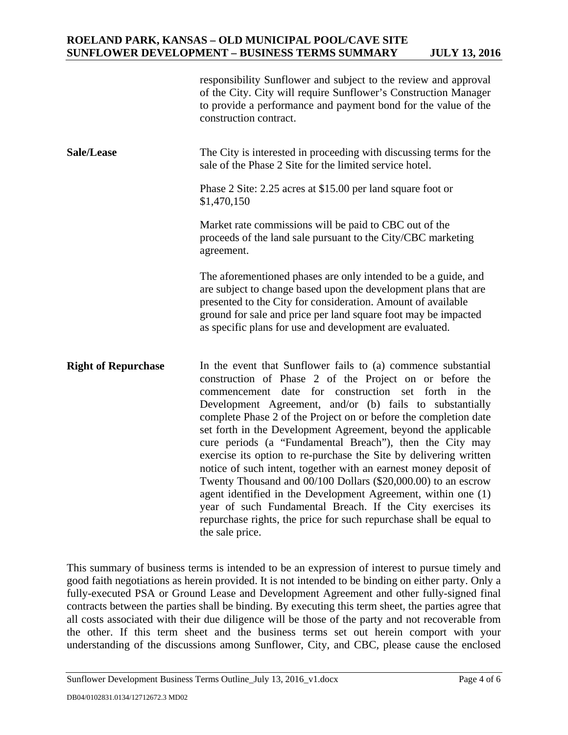|                            | responsibility Sunflower and subject to the review and approval<br>of the City. City will require Sunflower's Construction Manager<br>to provide a performance and payment bond for the value of the<br>construction contract.                                                                                                                                                                                                                                                                                                                                                                                                                                                                                                                                                                                                                                                       |
|----------------------------|--------------------------------------------------------------------------------------------------------------------------------------------------------------------------------------------------------------------------------------------------------------------------------------------------------------------------------------------------------------------------------------------------------------------------------------------------------------------------------------------------------------------------------------------------------------------------------------------------------------------------------------------------------------------------------------------------------------------------------------------------------------------------------------------------------------------------------------------------------------------------------------|
| Sale/Lease                 | The City is interested in proceeding with discussing terms for the<br>sale of the Phase 2 Site for the limited service hotel.                                                                                                                                                                                                                                                                                                                                                                                                                                                                                                                                                                                                                                                                                                                                                        |
|                            | Phase 2 Site: 2.25 acres at \$15.00 per land square foot or<br>\$1,470,150                                                                                                                                                                                                                                                                                                                                                                                                                                                                                                                                                                                                                                                                                                                                                                                                           |
|                            | Market rate commissions will be paid to CBC out of the<br>proceeds of the land sale pursuant to the City/CBC marketing<br>agreement.                                                                                                                                                                                                                                                                                                                                                                                                                                                                                                                                                                                                                                                                                                                                                 |
|                            | The aforementioned phases are only intended to be a guide, and<br>are subject to change based upon the development plans that are<br>presented to the City for consideration. Amount of available<br>ground for sale and price per land square foot may be impacted<br>as specific plans for use and development are evaluated.                                                                                                                                                                                                                                                                                                                                                                                                                                                                                                                                                      |
| <b>Right of Repurchase</b> | In the event that Sunflower fails to (a) commence substantial<br>construction of Phase 2 of the Project on or before the<br>commencement date for construction set<br>forth in<br>the<br>Development Agreement, and/or (b) fails to substantially<br>complete Phase 2 of the Project on or before the completion date<br>set forth in the Development Agreement, beyond the applicable<br>cure periods (a "Fundamental Breach"), then the City may<br>exercise its option to re-purchase the Site by delivering written<br>notice of such intent, together with an earnest money deposit of<br>Twenty Thousand and 00/100 Dollars (\$20,000.00) to an escrow<br>agent identified in the Development Agreement, within one (1)<br>year of such Fundamental Breach. If the City exercises its<br>repurchase rights, the price for such repurchase shall be equal to<br>the sale price. |

This summary of business terms is intended to be an expression of interest to pursue timely and good faith negotiations as herein provided. It is not intended to be binding on either party. Only a fully-executed PSA or Ground Lease and Development Agreement and other fully-signed final contracts between the parties shall be binding. By executing this term sheet, the parties agree that all costs associated with their due diligence will be those of the party and not recoverable from the other. If this term sheet and the business terms set out herein comport with your understanding of the discussions among Sunflower, City, and CBC, please cause the enclosed

Sunflower Development Business Terms Outline\_July 13, 2016\_v1.docx Page 4 of 6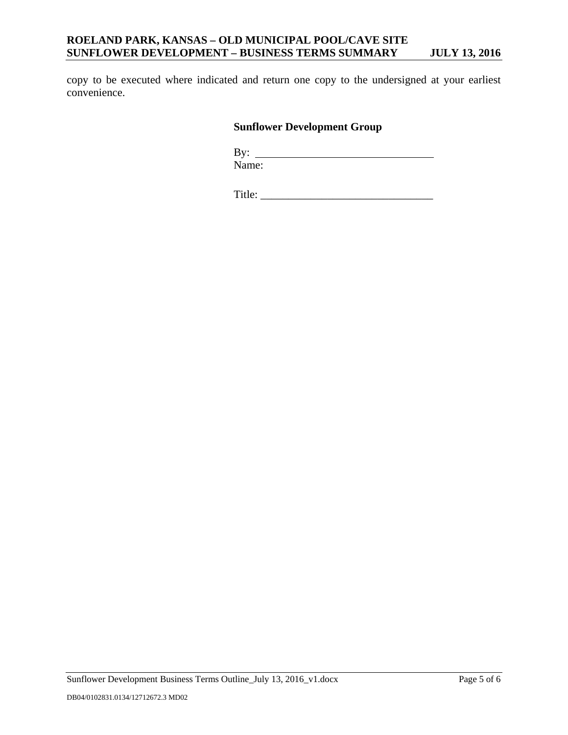copy to be executed where indicated and return one copy to the undersigned at your earliest convenience.

# **Sunflower Development Group**

 By: Name:

Title: \_\_\_\_\_\_\_\_\_\_\_\_\_\_\_\_\_\_\_\_\_\_\_\_\_\_\_\_\_\_\_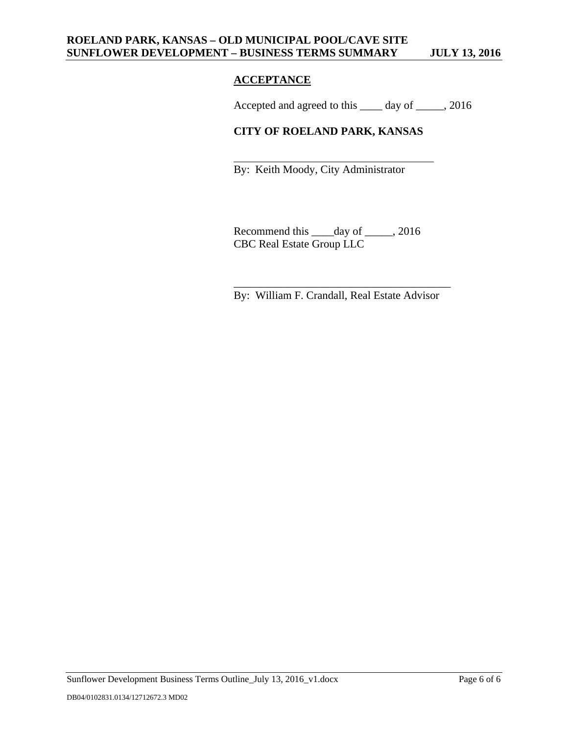# **ACCEPTANCE**

 $\overline{\phantom{a}}$  , and the contract of the contract of the contract of the contract of the contract of the contract of the contract of the contract of the contract of the contract of the contract of the contract of the contrac

Accepted and agreed to this \_\_\_\_ day of \_\_\_\_\_, 2016

# **CITY OF ROELAND PARK, KANSAS**

By: Keith Moody, City Administrator

Recommend this \_\_\_\_day of \_\_\_\_\_, 2016 CBC Real Estate Group LLC

By: William F. Crandall, Real Estate Advisor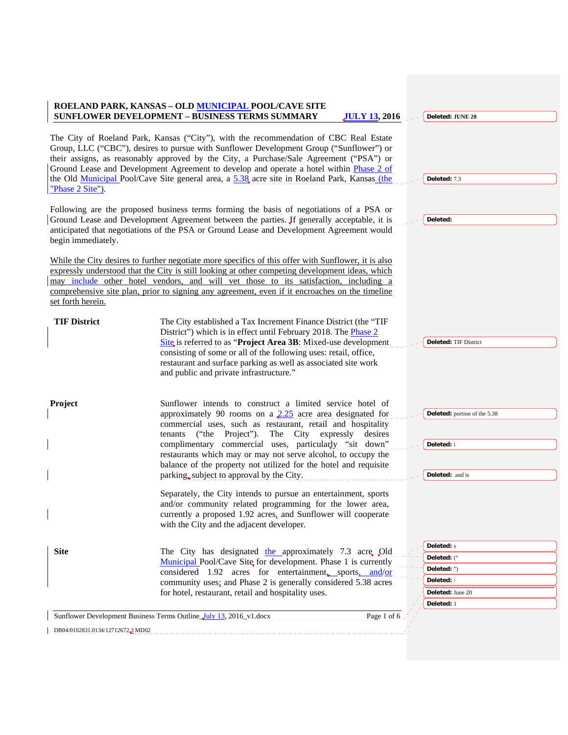|                                   | ROELAND PARK, KANSAS - OLD MUNICIPAL POOL/CAVE SITE<br><b>SUNFLOWER DEVELOPMENT - BUSINESS TERMS SUMMARY</b><br><b>JULY 13, 2016</b>                                                                                                                                                                                                                                                                                                                                                                   | Deleted: JUNE 20                                                                               |
|-----------------------------------|--------------------------------------------------------------------------------------------------------------------------------------------------------------------------------------------------------------------------------------------------------------------------------------------------------------------------------------------------------------------------------------------------------------------------------------------------------------------------------------------------------|------------------------------------------------------------------------------------------------|
| "Phase 2 Site").                  | The City of Roeland Park, Kansas ("City"), with the recommendation of CBC Real Estate<br>Group, LLC ("CBC"), desires to pursue with Sunflower Development Group ("Sunflower") or<br>their assigns, as reasonably approved by the City, a Purchase/Sale Agreement ("PSA") or<br>Ground Lease and Development Agreement to develop and operate a hotel within Phase 2 of<br>the Old Municipal Pool/Cave Site general area, a 5.38 acre site in Roeland Park, Kansas (the                                 | Deleted: 7.3                                                                                   |
| begin immediately.                | Following are the proposed business terms forming the basis of negotiations of a PSA or<br>Ground Lease and Development Agreement between the parties. Jf generally acceptable, it is<br>anticipated that negotiations of the PSA or Ground Lease and Development Agreement would                                                                                                                                                                                                                      | Deleted:                                                                                       |
| set forth herein.                 | While the City desires to further negotiate more specifics of this offer with Sunflower, it is also<br>expressly understood that the City is still looking at other competing development ideas, which<br>may include other hotel vendors, and will vet those to its satisfaction, including a<br>comprehensive site plan, prior to signing any agreement, even if it encroaches on the timeline                                                                                                       |                                                                                                |
| <b>TIF District</b>               | The City established a Tax Increment Finance District (the "TIF<br>District") which is in effect until February 2018. The <b>Phase 2</b><br>Site is referred to as "Project Area 3B: Mixed-use development<br>consisting of some or all of the following uses: retail, office,<br>restaurant and surface parking as well as associated site work<br>and public and private infrastructure."                                                                                                            | <b>Deleted: TIF District</b>                                                                   |
| Project                           | Sunflower intends to construct a limited service hotel of<br>approximately 90 rooms on a $2.25$ acre area designated for<br>commercial uses, such as restaurant, retail and hospitality<br>("the<br>Project").<br>The City expressly<br>desires<br>tenants<br>complimentary commercial uses, particularly "sit down"<br>restaurants which may or may not serve alcohol, to occupy the<br>balance of the property not utilized for the hotel and requisite<br>parking, subject to approval by the City. | Deleted: portion of the 5.38<br>Deleted: i<br>Deleted: and is                                  |
|                                   | Separately, the City intends to pursue an entertainment, sports<br>and/or community related programming for the lower area,<br>currently a proposed 1.92 acres, and Sunflower will cooperate<br>with the City and the adjacent developer.                                                                                                                                                                                                                                                              |                                                                                                |
| <b>Site</b>                       | The City has designated the approximately 7.3 acre Old<br>Municipal Pool/Cave Site for development. Phase 1 is currently<br>considered 1.92 acres for entertainment, sports, and/or<br>community uses; and Phase 2 is generally considered 5.38 acres<br>for hotel, restaurant, retail and hospitality uses.                                                                                                                                                                                           | <b>Deleted:</b> s<br>Deleted: ("<br>Deleted: ")<br>Deleted:/<br>Deleted: June 20<br>Deleted: 1 |
|                                   | Sunflower Development Business Terms Outline July 13, 2016 v1.docx<br>Page 1 of 6                                                                                                                                                                                                                                                                                                                                                                                                                      |                                                                                                |
| DB04/0102831.0134/12712672.3 MD02 |                                                                                                                                                                                                                                                                                                                                                                                                                                                                                                        |                                                                                                |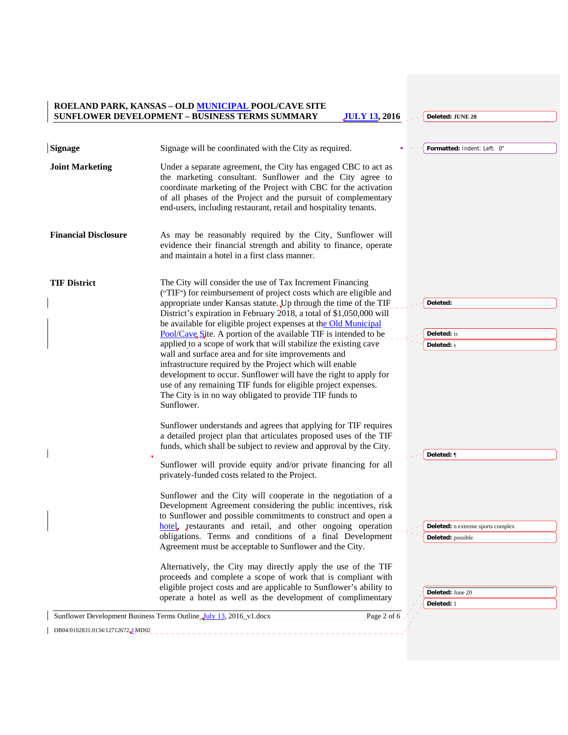*<u>JULY 13, 2016</u> CDeleted: JUNE 20* 

| <b>Signage</b>                    | Signage will be coordinated with the City as required.                                                                                                                                                                                                                                                                                                                                                                                                                                                                                                                                                                                                                                                                                                                                                                | Formatted: Indent: Left: 0"                                   |
|-----------------------------------|-----------------------------------------------------------------------------------------------------------------------------------------------------------------------------------------------------------------------------------------------------------------------------------------------------------------------------------------------------------------------------------------------------------------------------------------------------------------------------------------------------------------------------------------------------------------------------------------------------------------------------------------------------------------------------------------------------------------------------------------------------------------------------------------------------------------------|---------------------------------------------------------------|
| <b>Joint Marketing</b>            | Under a separate agreement, the City has engaged CBC to act as<br>the marketing consultant. Sunflower and the City agree to<br>coordinate marketing of the Project with CBC for the activation<br>of all phases of the Project and the pursuit of complementary<br>end-users, including restaurant, retail and hospitality tenants.                                                                                                                                                                                                                                                                                                                                                                                                                                                                                   |                                                               |
| <b>Financial Disclosure</b>       | As may be reasonably required by the City, Sunflower will<br>evidence their financial strength and ability to finance, operate<br>and maintain a hotel in a first class manner.                                                                                                                                                                                                                                                                                                                                                                                                                                                                                                                                                                                                                                       |                                                               |
| <b>TIF District</b>               | The City will consider the use of Tax Increment Financing<br>("TIF") for reimbursement of project costs which are eligible and<br>appropriate under Kansas statute. Up through the time of the TIF<br>District's expiration in February 2018, a total of \$1,050,000 will<br>be available for eligible project expenses at the Old Municipal<br>Pool/Cave Site. A portion of the available TIF is intended to be<br>applied to a scope of work that will stabilize the existing cave<br>wall and surface area and for site improvements and<br>infrastructure required by the Project which will enable<br>development to occur. Sunflower will have the right to apply for<br>use of any remaining TIF funds for eligible project expenses.<br>The City is in no way obligated to provide TIF funds to<br>Sunflower. | Deleted:<br><b>Deleted:</b> is<br><b>Deleted:</b> s           |
|                                   | Sunflower understands and agrees that applying for TIF requires<br>a detailed project plan that articulates proposed uses of the TIF<br>funds, which shall be subject to review and approval by the City.<br>Sunflower will provide equity and/or private financing for all                                                                                                                                                                                                                                                                                                                                                                                                                                                                                                                                           | Deleted: ¶                                                    |
|                                   | privately-funded costs related to the Project.<br>Sunflower and the City will cooperate in the negotiation of a<br>Development Agreement considering the public incentives, risk<br>to Sunflower and possible commitments to construct and open a<br>hotel, restaurants and retail, and other ongoing operation<br>obligations. Terms and conditions of a final Development<br>Agreement must be acceptable to Sunflower and the City.                                                                                                                                                                                                                                                                                                                                                                                | <b>Deleted:</b> n extreme sports complex<br>Deleted: possible |
|                                   | Alternatively, the City may directly apply the use of the TIF<br>proceeds and complete a scope of work that is compliant with<br>eligible project costs and are applicable to Sunflower's ability to<br>operate a hotel as well as the development of complimentary<br>Sunflower Development Business Terms Outline July 13, 2016 v1.docx<br>Page 2 of 6                                                                                                                                                                                                                                                                                                                                                                                                                                                              | Deleted: June 20<br>Deleted: 1                                |
| DB04/0102831.0134/12712672.3 MD02 | <u> 1990 - Jan Barbara de La Barbara de la Granda de la Granda de la Granda de la Granda de la Granda de la Granda de la Granda de la Granda de la Granda de la Granda de la Granda de la Granda de la Granda de la Granda de la</u>                                                                                                                                                                                                                                                                                                                                                                                                                                                                                                                                                                                  |                                                               |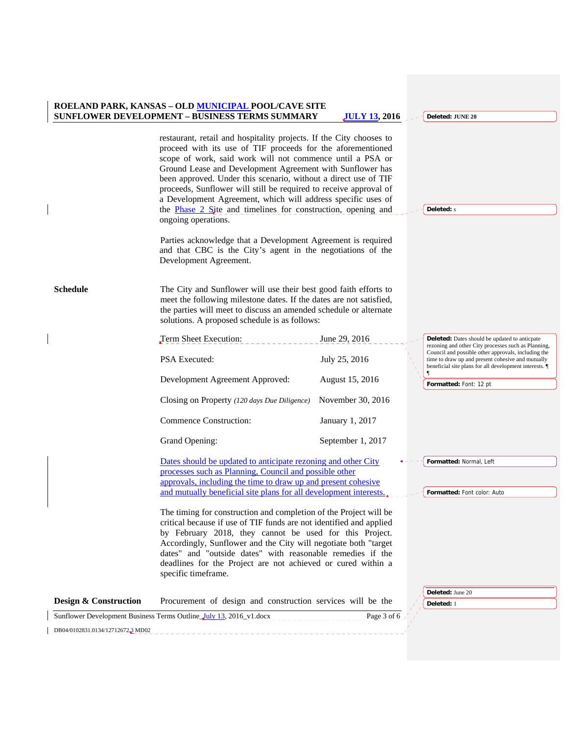|                                  | ROELAND PARK, KANSAS - OLD MUNICIPAL POOL/CAVE SITE<br>SUNFLOWER DEVELOPMENT - BUSINESS TERMS SUMMARY                                                                                                                                                                                                                                                                                                                                                                                                                                                                                                                              | <b>JULY 13, 2016</b> | Deleted: JUNE 20                                                                                                                                                                                                        |
|----------------------------------|------------------------------------------------------------------------------------------------------------------------------------------------------------------------------------------------------------------------------------------------------------------------------------------------------------------------------------------------------------------------------------------------------------------------------------------------------------------------------------------------------------------------------------------------------------------------------------------------------------------------------------|----------------------|-------------------------------------------------------------------------------------------------------------------------------------------------------------------------------------------------------------------------|
|                                  | restaurant, retail and hospitality projects. If the City chooses to<br>proceed with its use of TIF proceeds for the aforementioned<br>scope of work, said work will not commence until a PSA or<br>Ground Lease and Development Agreement with Sunflower has<br>been approved. Under this scenario, without a direct use of TIF<br>proceeds, Sunflower will still be required to receive approval of<br>a Development Agreement, which will address specific uses of<br>the <b>Phase 2 Site</b> and timelines for construction, opening and<br>ongoing operations.<br>Parties acknowledge that a Development Agreement is required |                      | <b>Deleted:</b> s                                                                                                                                                                                                       |
|                                  | and that CBC is the City's agent in the negotiations of the<br>Development Agreement.                                                                                                                                                                                                                                                                                                                                                                                                                                                                                                                                              |                      |                                                                                                                                                                                                                         |
| <b>Schedule</b>                  | The City and Sunflower will use their best good faith efforts to<br>meet the following milestone dates. If the dates are not satisfied,<br>the parties will meet to discuss an amended schedule or alternate<br>solutions. A proposed schedule is as follows:                                                                                                                                                                                                                                                                                                                                                                      |                      |                                                                                                                                                                                                                         |
|                                  | Term Sheet Execution:                                                                                                                                                                                                                                                                                                                                                                                                                                                                                                                                                                                                              | June 29, 2016        | <b>Deleted:</b> Dates should be updated to anticpate                                                                                                                                                                    |
|                                  | <b>PSA</b> Executed:                                                                                                                                                                                                                                                                                                                                                                                                                                                                                                                                                                                                               | July 25, 2016        | rezoning and other City processes such as Planning,<br>Council and possible other approvals, including the<br>time to draw up and present cohesive and mutually<br>beneficial site plans for all development interests. |
|                                  | Development Agreement Approved:                                                                                                                                                                                                                                                                                                                                                                                                                                                                                                                                                                                                    | August 15, 2016      | Formatted: Font: 12 pt                                                                                                                                                                                                  |
|                                  | Closing on Property (120 days Due Diligence)                                                                                                                                                                                                                                                                                                                                                                                                                                                                                                                                                                                       | November 30, 2016    |                                                                                                                                                                                                                         |
|                                  | <b>Commence Construction:</b>                                                                                                                                                                                                                                                                                                                                                                                                                                                                                                                                                                                                      | January 1, 2017      |                                                                                                                                                                                                                         |
|                                  | Grand Opening:                                                                                                                                                                                                                                                                                                                                                                                                                                                                                                                                                                                                                     | September 1, 2017    |                                                                                                                                                                                                                         |
|                                  | Dates should be updated to anticipate rezoning and other City<br>processes such as Planning, Council and possible other<br>approvals, including the time to draw up and present cohesive<br>and mutually beneficial site plans for all development interests.                                                                                                                                                                                                                                                                                                                                                                      |                      | Formatted: Normal, Left<br>Formatted: Font color: Auto                                                                                                                                                                  |
|                                  | The timing for construction and completion of the Project will be<br>critical because if use of TIF funds are not identified and applied<br>by February 2018, they cannot be used for this Project.<br>Accordingly, Sunflower and the City will negotiate both "target<br>dates" and "outside dates" with reasonable remedies if the<br>deadlines for the Project are not achieved or cured within a<br>specific timeframe.                                                                                                                                                                                                        |                      |                                                                                                                                                                                                                         |
| Design & Construction            | Procurement of design and construction services will be the                                                                                                                                                                                                                                                                                                                                                                                                                                                                                                                                                                        |                      | Deleted: June 20<br>Deleted: 1                                                                                                                                                                                          |
|                                  | Sunflower Development Business Terms Outline July 13, 2016 v1.docx                                                                                                                                                                                                                                                                                                                                                                                                                                                                                                                                                                 | Page 3 of 6          |                                                                                                                                                                                                                         |
| DB04/0102831.0134/127126722 MD02 |                                                                                                                                                                                                                                                                                                                                                                                                                                                                                                                                                                                                                                    |                      |                                                                                                                                                                                                                         |
|                                  |                                                                                                                                                                                                                                                                                                                                                                                                                                                                                                                                                                                                                                    |                      |                                                                                                                                                                                                                         |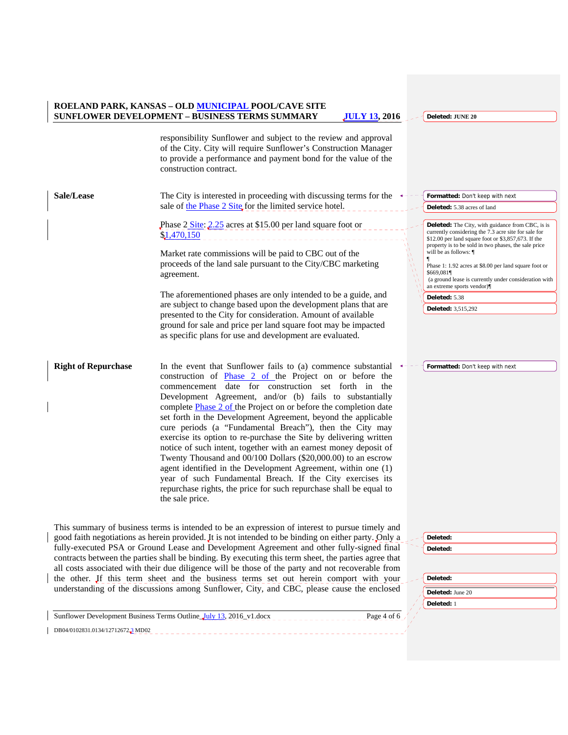**Deleted: JUNE 20**

responsibility Sunflower and subject to the review and approval of the City. City will require Sunflower's Construction Manager to provide a performance and payment bond for the value of the construction contract. **Sale/Lease** The City is interested in proceeding with discussing terms for the sale of the Phase 2 Site for the limited service hotel. Phase 2 Site: 2.25 acres at \$15.00 per land square foot \$1,470,150 Market rate commissions will be paid to CBC out of the proceeds of the land sale pursuant to the City/CBC marketing agreement. The aforementioned phases are only intended to be a guide, and are subject to change based upon the development plans that are presented to the City for consideration. Amount of available ground for sale and price per land square foot may be impacted as specific plans for use and development are evaluated. **Right of Repurchase** In the event that Sunflower fails to (a) commence substantial construction of Phase 2 of the Project on or before the commencement date for construction set forth in the Development Agreement, and/or (b) fails to substantially complete Phase 2 of the Project on or before the completion date set forth in the Development Agreement, beyond the applicable cure periods (a "Fundamental Breach"), then the City may exercise its option to re-purchase the Site by delivering written notice of such intent, together with an earnest money deposit of Twenty Thousand and 00/100 Dollars (\$20,000.00) to an escrow agent identified in the Development Agreement, within one (1) year of such Fundamental Breach. If the City exercises its repurchase rights, the price for such repurchase shall be equal to the sale price. This summary of business terms is intended to be an expression of interest to pursue timely and good faith negotiations as herein provided. It is not intended to be binding on either party. Only a fully-executed PSA or Ground Lease and Development Agreement and other fully-signed final contracts between the parties shall be binding. By executing this term sheet, the parties agree that **Formatted:** Don't keep with next **Deleted:** 5.38 acres of land **Deleted:** The City, with guidance from CBC, is is currently considering the 7.3 acre site for sale for \$12.00 per land square foot or \$3,857,673. If the property is to be sold in two phases, the sale price will be as follows: ¶ ¶ Phase 1: 1.92 acres at \$8.00 per land square foot or \$669,081¶ (a ground lease is currently under consideration with an extreme sports vendor)¶ **Deleted:** 5.38 **Deleted:** 3,515,292 **Formatted:** Don't keep with next **Deleted: Deleted:** 

| Deleted:         |
|------------------|
| Deleted: June 20 |
| Deleted: 1       |
|                  |

Sunflower Development Business Terms Outline July 13, 2016\_v1.docx Page 4 of 6 DB04/0102831.0134/12712672.3 MD02

all costs associated with their due diligence will be those of the party and not recoverable from the other. If this term sheet and the business terms set out herein comport with your understanding of the discussions among Sunflower, City, and CBC, please cause the enclosed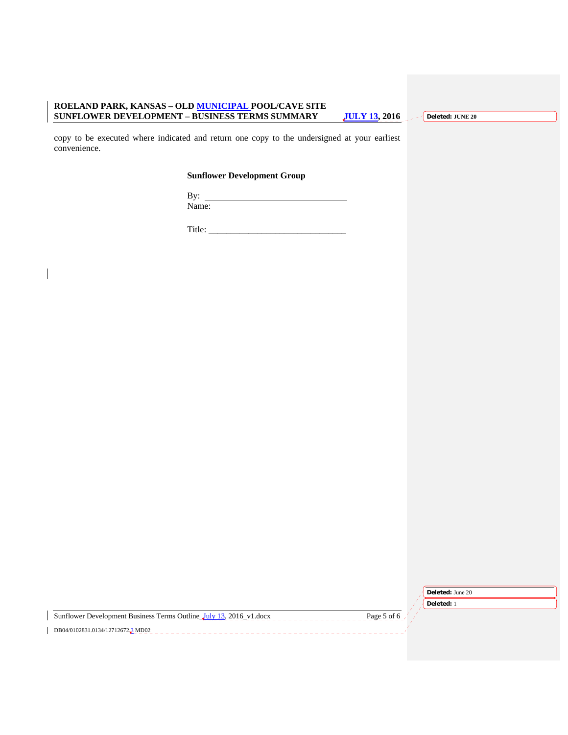**Deleted: JUNE 20**

copy to be executed where indicated and return one copy to the undersigned at your earliest convenience.

## **Sunflower Development Group**

By: Name:

Title: \_\_\_\_\_\_\_\_\_\_\_\_\_\_\_\_\_\_\_\_\_\_\_\_\_\_\_\_\_\_\_

| <b>Deleted:</b> June 20 |  |
|-------------------------|--|
|                         |  |

Sunflower Development Business Terms Outline. July 13, 2016\_v1.docx Page 5 of 6  $\overline{DB04/0102831.0134/127126722}$  MD02

**Deleted:** 1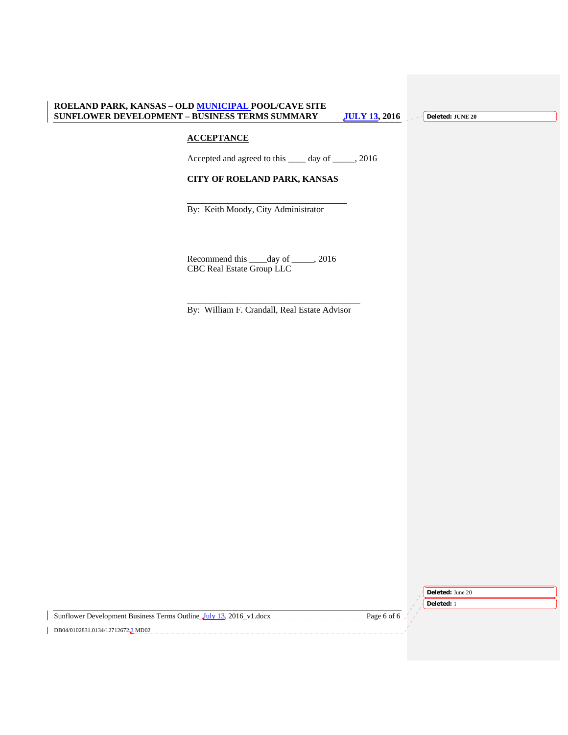**Deleted: JUNE 20**

## **ACCEPTANCE**

 $\frac{1}{2}$  ,  $\frac{1}{2}$  ,  $\frac{1}{2}$  ,  $\frac{1}{2}$  ,  $\frac{1}{2}$  ,  $\frac{1}{2}$  ,  $\frac{1}{2}$  ,  $\frac{1}{2}$  ,  $\frac{1}{2}$  ,  $\frac{1}{2}$  ,  $\frac{1}{2}$  ,  $\frac{1}{2}$  ,  $\frac{1}{2}$  ,  $\frac{1}{2}$  ,  $\frac{1}{2}$  ,  $\frac{1}{2}$  ,  $\frac{1}{2}$  ,  $\frac{1}{2}$  ,  $\frac{1$ 

Accepted and agreed to this \_\_\_\_ day of \_\_\_\_\_, 2016

## **CITY OF ROELAND PARK, KANSAS**

By: Keith Moody, City Administrator

Recommend this \_\_\_\_day of \_\_\_\_\_, 2016 CBC Real Estate Group LLC

By: William F. Crandall, Real Estate Advisor

**Deleted:** June 20

Sunflower Development Business Terms Outline\_July 13, 2016\_v1.docx Page 6 of 6 DB04/0102831.0134/127126722MD02

**Deleted:** 1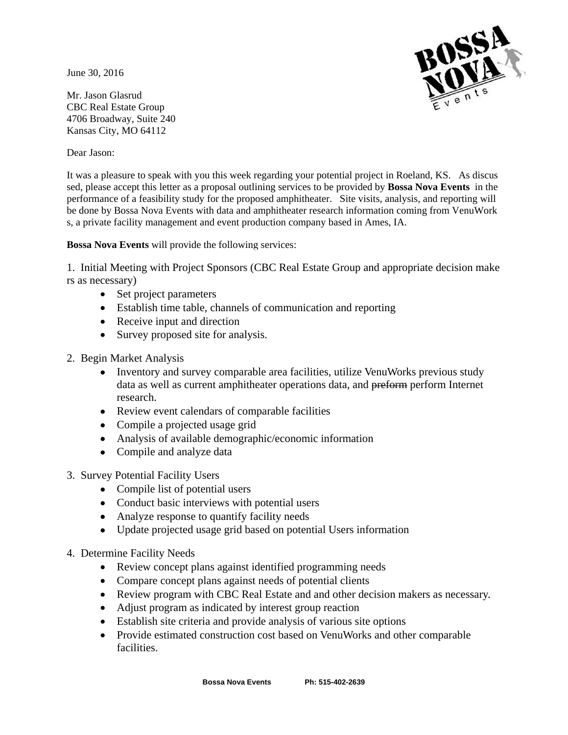June 30, 2016



Mr. Jason Glasrud CBC Real Estate Group 4706 Broadway, Suite 240 Kansas City, MO 64112

Dear Jason:

It was a pleasure to speak with you this week regarding your potential project in Roeland, KS. As discus sed, please accept this letter as a proposal outlining services to be provided by **Bossa Nova Events** in the performance of a feasibility study for the proposed amphitheater. Site visits, analysis, and reporting will be done by Bossa Nova Events with data and amphitheater research information coming from VenuWork s, a private facility management and event production company based in Ames, IA.

**Bossa Nova Events** will provide the following services:

1. Initial Meeting with Project Sponsors (CBC Real Estate Group and appropriate decision make rs as necessary)

- Set project parameters
- Establish time table, channels of communication and reporting
- Receive input and direction
- Survey proposed site for analysis.
- 2. Begin Market Analysis
	- Inventory and survey comparable area facilities, utilize VenuWorks previous study data as well as current amphitheater operations data, and preform perform Internet research.
	- Review event calendars of comparable facilities
	- Compile a projected usage grid
	- Analysis of available demographic/economic information
	- Compile and analyze data
- 3. Survey Potential Facility Users
	- Compile list of potential users
	- Conduct basic interviews with potential users
	- Analyze response to quantify facility needs
	- Update projected usage grid based on potential Users information
- 4. Determine Facility Needs
	- Review concept plans against identified programming needs
	- Compare concept plans against needs of potential clients
	- Review program with CBC Real Estate and and other decision makers as necessary.
	- Adjust program as indicated by interest group reaction
	- Establish site criteria and provide analysis of various site options
	- Provide estimated construction cost based on VenuWorks and other comparable facilities.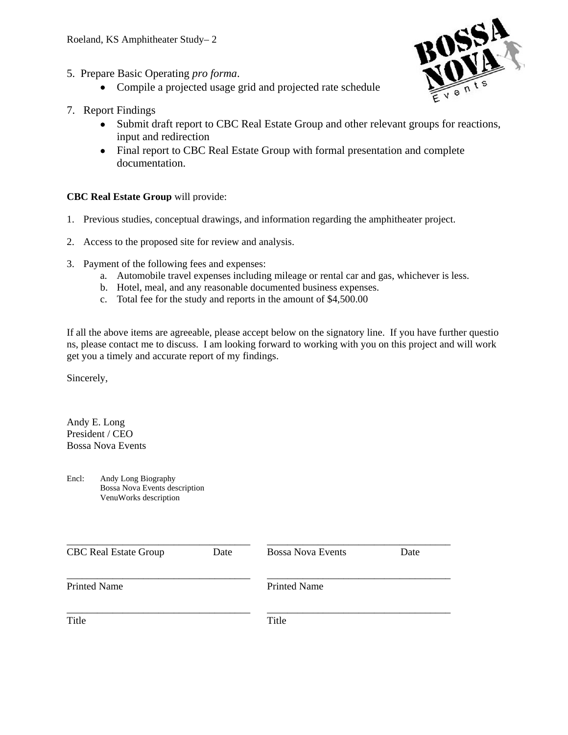- 5. Prepare Basic Operating *pro forma*.
	- Compile a projected usage grid and projected rate schedule



- 7. Report Findings
	- Submit draft report to CBC Real Estate Group and other relevant groups for reactions, input and redirection
	- Final report to CBC Real Estate Group with formal presentation and complete documentation.

# **CBC Real Estate Group** will provide:

- 1. Previous studies, conceptual drawings, and information regarding the amphitheater project.
- 2. Access to the proposed site for review and analysis.
- 3. Payment of the following fees and expenses:
	- a. Automobile travel expenses including mileage or rental car and gas, whichever is less.
	- b. Hotel, meal, and any reasonable documented business expenses.
	- c. Total fee for the study and reports in the amount of \$4,500.00

If all the above items are agreeable, please accept below on the signatory line. If you have further questio ns, please contact me to discuss. I am looking forward to working with you on this project and will work get you a timely and accurate report of my findings.

Sincerely,

Andy E. Long President / CEO Bossa Nova Events

Encl: Andy Long Biography Bossa Nova Events description VenuWorks description

| <b>CBC Real Estate Group</b> | Date | <b>Bossa Nova Events</b> | Date |
|------------------------------|------|--------------------------|------|
| <b>Printed Name</b>          |      | <b>Printed Name</b>      |      |
| Title                        |      | Title                    |      |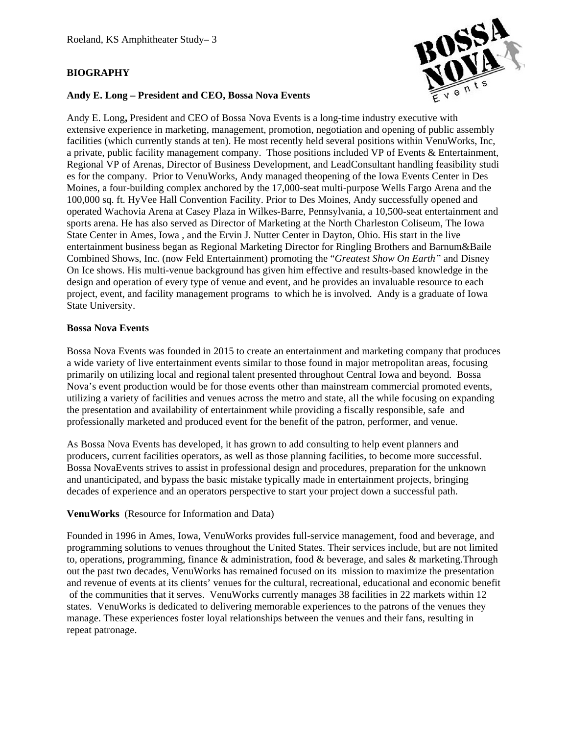## **BIOGRAPHY**



## **Andy E. Long – President and CEO, Bossa Nova Events**

Andy E. Long**,** President and CEO of Bossa Nova Events is a long-time industry executive with extensive experience in marketing, management, promotion, negotiation and opening of public assembly facilities (which currently stands at ten). He most recently held several positions within VenuWorks, Inc, a private, public facility management company. Those positions included VP of Events & Entertainment, Regional VP of Arenas, Director of Business Development, and LeadConsultant handling feasibility studi es for the company. Prior to VenuWorks, Andy managed theopening of the Iowa Events Center in Des Moines, a four-building complex anchored by the 17,000-seat multi-purpose Wells Fargo Arena and the 100,000 sq. ft. HyVee Hall Convention Facility. Prior to Des Moines, Andy successfully opened and operated Wachovia Arena at Casey Plaza in Wilkes-Barre, Pennsylvania, a 10,500-seat entertainment and sports arena. He has also served as Director of Marketing at the North Charleston Coliseum, The Iowa State Center in Ames, Iowa , and the Ervin J. Nutter Center in Dayton, Ohio. His start in the live entertainment business began as Regional Marketing Director for Ringling Brothers and Barnum&Baile Combined Shows, Inc. (now Feld Entertainment) promoting the "*Greatest Show On Earth"* and Disney On Ice shows. His multi-venue background has given him effective and results-based knowledge in the design and operation of every type of venue and event, and he provides an invaluable resource to each project, event, and facility management programs to which he is involved. Andy is a graduate of Iowa State University.

## **Bossa Nova Events**

Bossa Nova Events was founded in 2015 to create an entertainment and marketing company that produces a wide variety of live entertainment events similar to those found in major metropolitan areas, focusing primarily on utilizing local and regional talent presented throughout Central Iowa and beyond. Bossa Nova's event production would be for those events other than mainstream commercial promoted events, utilizing a variety of facilities and venues across the metro and state, all the while focusing on expanding the presentation and availability of entertainment while providing a fiscally responsible, safe and professionally marketed and produced event for the benefit of the patron, performer, and venue.

As Bossa Nova Events has developed, it has grown to add consulting to help event planners and producers, current facilities operators, as well as those planning facilities, to become more successful. Bossa NovaEvents strives to assist in professional design and procedures, preparation for the unknown and unanticipated, and bypass the basic mistake typically made in entertainment projects, bringing decades of experience and an operators perspective to start your project down a successful path.

## **VenuWorks** (Resource for Information and Data)

Founded in 1996 in Ames, Iowa, VenuWorks provides full-service management, food and beverage, and programming solutions to venues throughout the United States. Their services include, but are not limited to, operations, programming, finance & administration, food & beverage, and sales & marketing.Through out the past two decades, VenuWorks has remained focused on its mission to maximize the presentation and revenue of events at its clients' venues for the cultural, recreational, educational and economic benefit of the communities that it serves. VenuWorks currently manages 38 facilities in 22 markets within 12 states. VenuWorks is dedicated to delivering memorable experiences to the patrons of the venues they manage. These experiences foster loyal relationships between the venues and their fans, resulting in repeat patronage.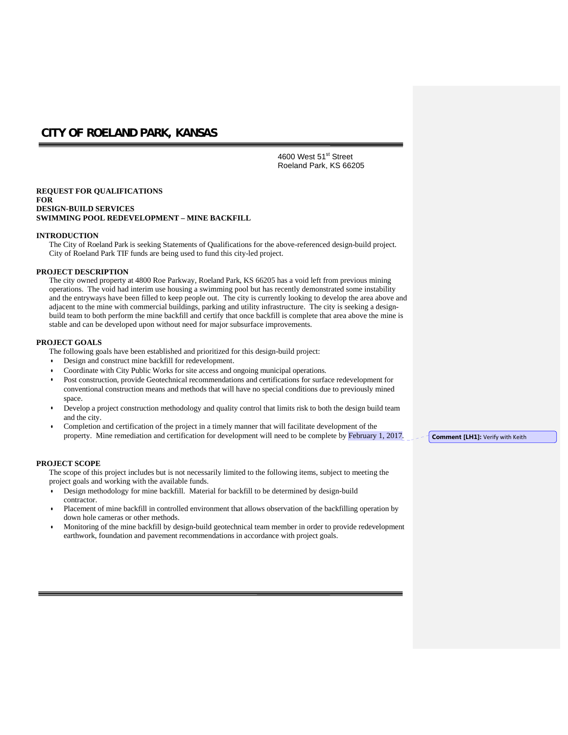4600 West 51<sup>st</sup> Street Roeland Park, KS 66205

#### **REQUEST FOR QUALIFICATIONS FOR DESIGN-BUILD SERVICES SWIMMING POOL REDEVELOPMENT – MINE BACKFILL**

#### **INTRODUCTION**

The City of Roeland Park is seeking Statements of Qualifications for the above-referenced design-build project. City of Roeland Park TIF funds are being used to fund this city-led project.

#### **PROJECT DESCRIPTION**

The city owned property at 4800 Roe Parkway, Roeland Park, KS 66205 has a void left from previous mining operations. The void had interim use housing a swimming pool but has recently demonstrated some instability and the entryways have been filled to keep people out. The city is currently looking to develop the area above and adjacent to the mine with commercial buildings, parking and utility infrastructure. The city is seeking a designbuild team to both perform the mine backfill and certify that once backfill is complete that area above the mine is stable and can be developed upon without need for major subsurface improvements.

#### **PROJECT GOALS**

The following goals have been established and prioritized for this design-build project:

- Design and construct mine backfill for redevelopment.
- Coordinate with City Public Works for site access and ongoing municipal operations.
- Post construction, provide Geotechnical recommendations and certifications for surface redevelopment for conventional construction means and methods that will have no special conditions due to previously mined space.
- Develop a project construction methodology and quality control that limits risk to both the design build team and the city.
- Completion and certification of the project in a timely manner that will facilitate development of the property. Mine remediation and certification for development will need to be complete by February 1, 2017.

#### **PROJECT SCOPE**

The scope of this project includes but is not necessarily limited to the following items, subject to meeting the project goals and working with the available funds.

- Design methodology for mine backfill. Material for backfill to be determined by design-build contractor.
- Placement of mine backfill in controlled environment that allows observation of the backfilling operation by down hole cameras or other methods.
- Monitoring of the mine backfill by design-build geotechnical team member in order to provide redevelopment earthwork, foundation and pavement recommendations in accordance with project goals.

**Comment [LH1]:** Verify with Keith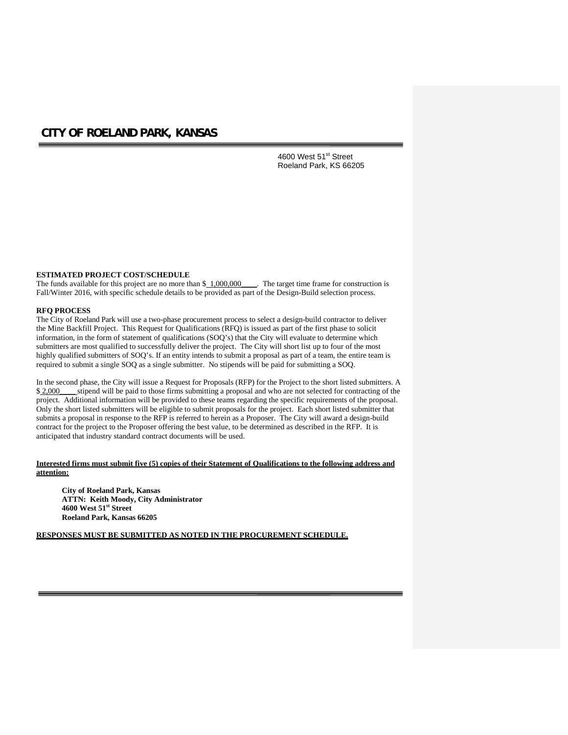4600 West 51<sup>st</sup> Street Roeland Park, KS 66205

## **ESTIMATED PROJECT COST/SCHEDULE**

The funds available for this project are no more than  $\frac{$1,000,000}{\ldots}$ . The target time frame for construction is Fall/Winter 2016, with specific schedule details to be provided as part of the Design-Build selection process.

#### **RFQ PROCESS**

The City of Roeland Park will use a two-phase procurement process to select a design-build contractor to deliver the Mine Backfill Project. This Request for Qualifications (RFQ) is issued as part of the first phase to solicit information, in the form of statement of qualifications (SOQ's) that the City will evaluate to determine which submitters are most qualified to successfully deliver the project. The City will short list up to four of the most highly qualified submitters of SOQ's. If an entity intends to submit a proposal as part of a team, the entire team is required to submit a single SOQ as a single submitter. No stipends will be paid for submitting a SOQ.

In the second phase, the City will issue a Request for Proposals (RFP) for the Project to the short listed submitters. A \$ 2,000 stipend will be paid to those firms submitting a proposal and who are not selected for contracting of the project. Additional information will be provided to these teams regarding the specific requirements of the proposal. Only the short listed submitters will be eligible to submit proposals for the project. Each short listed submitter that submits a proposal in response to the RFP is referred to herein as a Proposer. The City will award a design-build contract for the project to the Proposer offering the best value, to be determined as described in the RFP. It is anticipated that industry standard contract documents will be used.

## **Interested firms must submit five (5) copies of their Statement of Qualifications to the following address and attention:**

**City of Roeland Park, Kansas ATTN: Keith Moody, City Administrator 4600 West 51st Street Roeland Park, Kansas 66205**

**RESPONSES MUST BE SUBMITTED AS NOTED IN THE PROCUREMENT SCHEDULE.**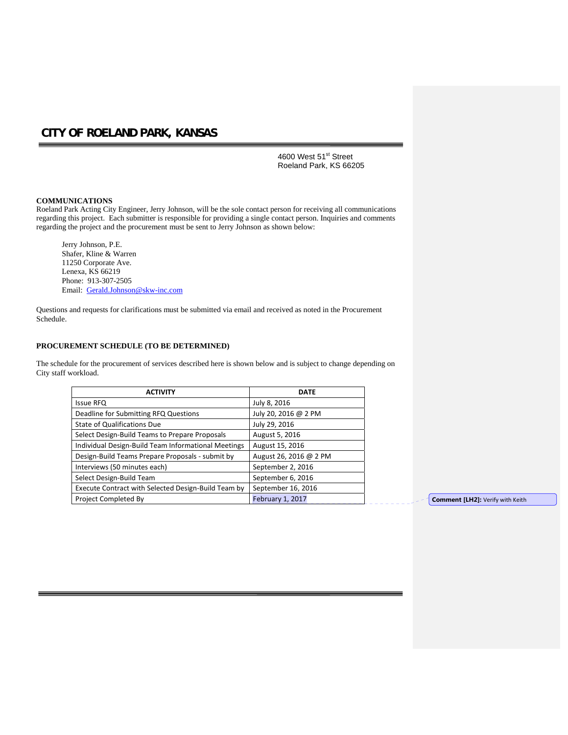4600 West 51<sup>st</sup> Street Roeland Park, KS 66205

#### **COMMUNICATIONS**

Roeland Park Acting City Engineer, Jerry Johnson, will be the sole contact person for receiving all communications regarding this project. Each submitter is responsible for providing a single contact person. Inquiries and comments regarding the project and the procurement must be sent to Jerry Johnson as shown below:

Jerry Johnson, P.E. Shafer, Kline & Warren 11250 Corporate Ave. Lenexa, KS 66219 Phone: 913-307-2505 Email: Gerald.Johnson@skw-inc.com

Questions and requests for clarifications must be submitted via email and received as noted in the Procurement Schedule.

#### **PROCUREMENT SCHEDULE (TO BE DETERMINED)**

The schedule for the procurement of services described here is shown below and is subject to change depending on City staff workload.

| <b>ACTIVITY</b>                                     | <b>DATE</b>            |
|-----------------------------------------------------|------------------------|
| <b>Issue RFQ</b>                                    | July 8, 2016           |
| Deadline for Submitting RFQ Questions               | July 20, 2016 @ 2 PM   |
| State of Qualifications Due                         | July 29, 2016          |
| Select Design-Build Teams to Prepare Proposals      | August 5, 2016         |
| Individual Design-Build Team Informational Meetings | August 15, 2016        |
| Design-Build Teams Prepare Proposals - submit by    | August 26, 2016 @ 2 PM |
| Interviews (50 minutes each)                        | September 2, 2016      |
| Select Design-Build Team                            | September 6, 2016      |
| Execute Contract with Selected Design-Build Team by | September 16, 2016     |
| Project Completed By                                | February 1, 2017       |

**Comment [LH2]: Verify with Keith**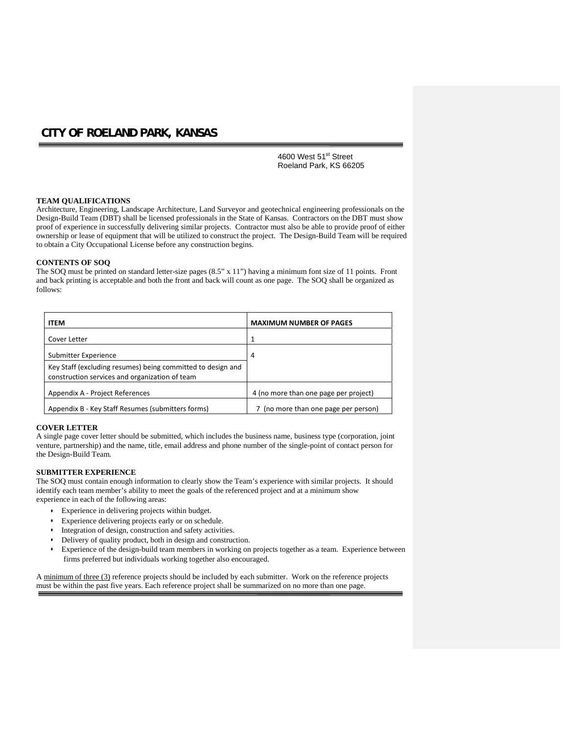4600 West 51<sup>st</sup> Street Roeland Park, KS 66205

#### **TEAM QUALIFICATIONS**

Architecture, Engineering, Landscape Architecture, Land Surveyor and geotechnical engineering professionals on the Design-Build Team (DBT) shall be licensed professionals in the State of Kansas. Contractors on the DBT must show proof of experience in successfully delivering similar projects. Contractor must also be able to provide proof of either ownership or lease of equipment that will be utilized to construct the project. The Design-Build Team will be required to obtain a City Occupational License before any construction begins.

#### **CONTENTS OF SOQ**

The SOQ must be printed on standard letter-size pages (8.5" x 11") having a minimum font size of 11 points. Front and back printing is acceptable and both the front and back will count as one page. The SOQ shall be organized as follows:

| <b>ITEM</b>                                                                                                   | <b>MAXIMUM NUMBER OF PAGES</b>        |
|---------------------------------------------------------------------------------------------------------------|---------------------------------------|
| Cover Letter                                                                                                  |                                       |
| Submitter Experience                                                                                          | 4                                     |
| Key Staff (excluding resumes) being committed to design and<br>construction services and organization of team |                                       |
| Appendix A - Project References                                                                               | 4 (no more than one page per project) |
| Appendix B - Key Staff Resumes (submitters forms)                                                             | 7 (no more than one page per person)  |

#### **COVER LETTER**

A single page cover letter should be submitted, which includes the business name, business type (corporation, joint venture, partnership) and the name, title, email address and phone number of the single-point of contact person for the Design-Build Team.

#### **SUBMITTER EXPERIENCE**

The SOQ must contain enough information to clearly show the Team's experience with similar projects. It should identify each team member's ability to meet the goals of the referenced project and at a minimum show experience in each of the following areas:

- Experience in delivering projects within budget.
- Experience delivering projects early or on schedule.
- Integration of design, construction and safety activities.
- Delivery of quality product, both in design and construction.
- Experience of the design-build team members in working on projects together as a team. Experience between firms preferred but individuals working together also encouraged.

A minimum of three (3) reference projects should be included by each submitter. Work on the reference projects must be within the past five years. Each reference project shall be summarized on no more than one page.